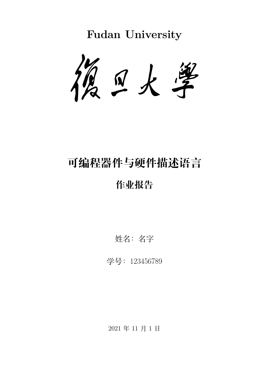**Fudan University**



# **可编程器件与硬件描述语言**

## **作业报告**

姓名:名字

学号:123456789

2021 年 11 月 1 日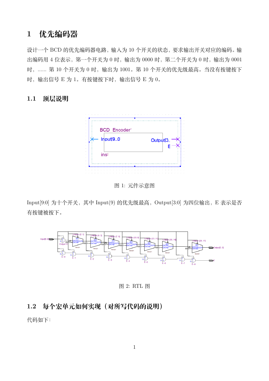## **1 优先编码器**

设计一个 BCD 的优先编码器电路,输入为 10 个开关的状态,要求输出开关对应的编码。输 出编码用 4 位表示, 第一个开关为 0 时, 输出为 0000 时, 第二个开关为 0 时, 输出为 0001 时,...... 第 10 个开关为 0 时, 输出为 1001。第 10 个开关的优先级最高。当没有按键按下 时, 输出信号 E 为 1。有按键按下时, 输出信号 E 为 0。

#### **1.1 顶层说明**



图 1: 元件示意图

Input [9:0] 为十个开关, 其中 Input (9) 的优先级最高, Output [3:0] 为四位输出, E 表示是否 有按键被按下。



图 2: RTL 图

### **1.2 每个宏单元如何实现(对所写代码的说明)**

代码如下: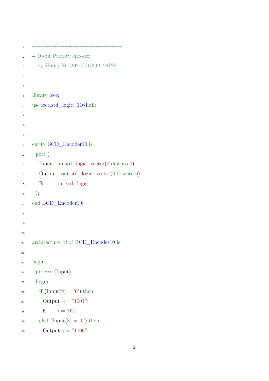```
1 ---------------------------------------------------
2 \mid -10-bit Priority encoder
\vert -- by Zhang Ke, 2021/10/30 9:26PM
4 ---------------------------------------------------
5
6 library ieee;
<sup>7</sup> use ieee.std_logic_1164.all;
8
 9 ---------------------------------------------------
10
11 entity BCD_Encoder10 is
_{12} port (
_{13} Input : in std_logic_vector(9 downto 0);
14 Output : out std_logic_vector(3 downto 0);
<sup>15</sup> E : out std_logic
16);
17 end BCD_Encoder10;
18
19 ---------------------------------------------------
20
21 architecture rtl of BCD_Encoder10 is
22
_{23} begin
24 process (Input)
25 begin
_{26} if (Input(9) = '0') then
_{27} Output \leq "1001";
_{28} E \leq = '0';
_{29} elsif (Input(8) = '0') then
30 Output \leq "1000";
```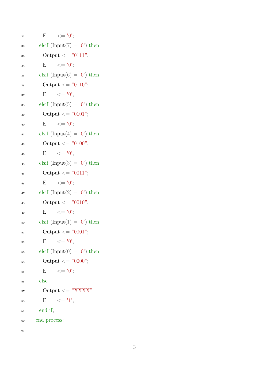$_{31}$  E  $\leq$  = '0';  $\text{as}$  elsif (Input(7) = '0') then <sup>33</sup> Output <= "0111";  $34$  E  $\leq$   $^{\circ}0$ ;  $\text{as}$  elsif (Input(6) = '0') then  $_{36}$  Output  $\leq$  "0110";  $37$  E  $\leq$   $=$  '0';  $\text{38}$  elsif (Input(5) = '0') then 39 Output  $\langle = "0101";$  $_{40}$  E  $\leq$  = '0';  $_{41}$  elsif (Input(4) = '0') then  $_{42}$  Output  $\lt = "0100";$  $_{43}$  E  $\leq$  = '0';  $_{44}$  elsif (Input(3) = '0') then 45 Output  $\langle = "0011";$ 46 E  $\leq$   $\leq$   $\frac{10}{5}$ ;  $_{47}$  elsif (Input(2) = '0') then 48 Output  $\langle = "0010";$  $_{49}$  E  $\leq$   $^{\circ}$  (0';  $_{50}$  elsif (Input(1) = '0') then  $_{51}$  Output  $\leq$  "0001";  $52 \quad E \quad \leq U';$  $\text{ss}$  elsif (Input(0) = '0') then  $_{54}$  Output  $\leq$  "0000";  $55$  E  $\leq$   $\leq$   $\frac{10}{3}$ ; <sup>56</sup> else  $57$  Output  $\lt = "XXXX";$  $58$  E  $\leq$   $^{-1}$ ;  $_{59}$  end if; <sup>60</sup> end process; 61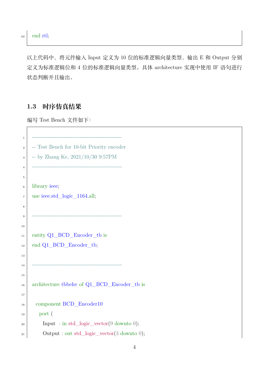以上代码中,将元件输入 Input 定义为 10 位的标准逻辑向量类型,输出 E 和 Output 分别 定义为标准逻辑位和 4 位的标准逻辑向量类型。具体 architecture 实现中使用 IF 语句进行 状态判断并且输出。

#### **1.3 时序仿真结果**

编写 Test Bench 文件如下:

```
1 ---------------------------------------------------
\vert -- Test Bench for 10-bit Priority encoder
\vert -- by Zhang Ke, 2021/10/30 9:57PM
 4 ---------------------------------------------------
5
<sup>6</sup> library ieee;
7 \mid use ieee.std logic 1164.all;
8
 9 ---------------------------------------------------
10
11 entity Q1_BCD_Encoder_tb is
_{12} end Q1_BCD_Encoder_tb;
13
14 ---------------------------------------------------
15
<sup>16</sup> architecture tbbehy of Q1 BCD Encoder tb is
17
18 component BCD_Encoder10
19 port (
_{20} Input : in std_logic_vector(9 downto 0);
_{21} Output : out std_logic_vector(3 downto 0);
```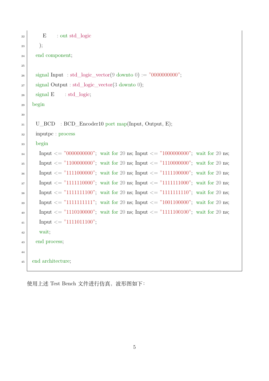```
_{22} E : out std logic
23 );
24 end component;
25
_{26} signal Input : std_logic_vector(9 downto 0) := "00000000000";
_{27} signal Output : std_logic_vector(3 downto 0);
_{28} signal E : std logic;
_{29} begin
30
31 U BCD : BCD Encoder10 port map(Input, Output, E);
32 inputpc : process
33 begin
\{34\} Input \langle 20 \rangle = 70000000000, wait for 20 ns; Input \langle 20 \rangle = 71000000000, wait for 20 ns;
\text{Input} \leq \text{``1100000000''}; \text{ wait for 20 ns}; \text{Input} \leq \text{``1110000000''}; \text{ wait for 20 ns};_{36} Input \leq "1111000000"; wait for 20 ns; Input \leq "1111100000"; wait for 20 ns;
37 \mid Input \leq "11111110000"; wait for 20 ns; Input \leq "11111111000"; wait for 20 ns;
\{38\} Input \langle 38 \rangle Input \langle 48 \rangle Input \langle 58 \rangle Input \langle 58 \rangle Input \langle 58 \rangle Input \langle 68 \rangle Inside \langle 78 \rangle Input \langle 68 \rangle Input \langle 78 \rangle Input \langle 68 \rangle Input \langle 78 \rangle Input \langle 78 \rangle Input \langle 88 \rangle Inp
\text{Input} \leq \text{``1111111111''}; \text{ wait for 20 ns; Input } \leq \text{``1001100000''}; \text{ wait for 20 ns};_{40} Input \leq "1110100000"; wait for 20 ns; Input \leq "1111100100"; wait for 20 ns;
_{41} Input \leq "1111011100";
42 wait;
<sup>43</sup> end process;
44
<sup>45</sup> end architecture;
```
使用上述 Test Bench 文件进行仿真,波形图如下: